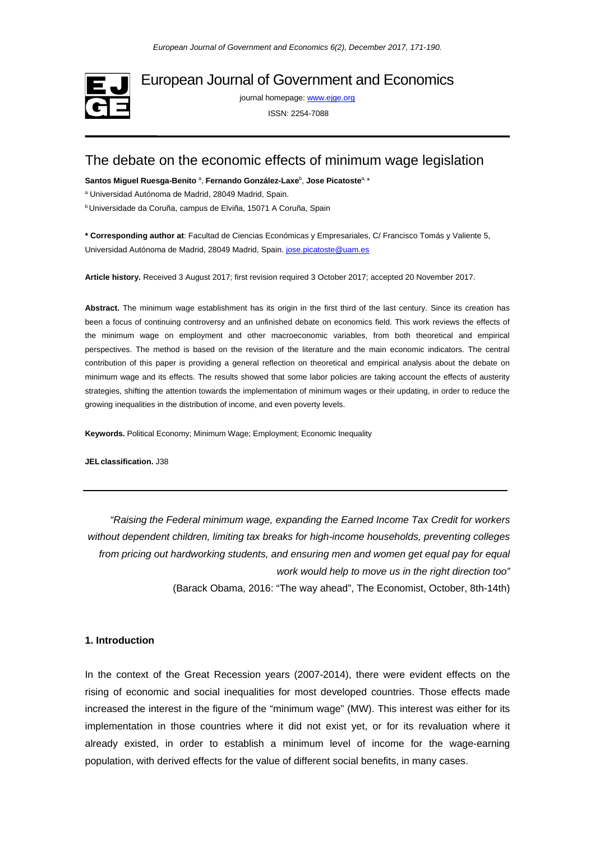

European Journal of Government and Economics

journal homepage[: www.ejge.org](http://www.ejge.org/)

ISSN: 2254-7088

# The debate on the economic effects of minimum wage legislation

Santos Miguel Ruesga-Benito<sup>a</sup>, Fernando González-Laxe<sup>b</sup>, Jose Picatoste<sup>a, \*</sup>

<sup>a</sup> Universidad Autónoma de Madrid, 28049 Madrid, Spain.

b Universidade da Coruña, campus de Elviña, 15071 A Coruña, Spain

**\* Corresponding author at**: Facultad de Ciencias Económicas y Empresariales, C/ Francisco Tomás y Valiente 5, Universidad Autónoma de Madrid, 28049 Madrid, Spain[. jose.picatoste@uam.es](mailto:jose.picatoste@uam.es)

**Article history.** Received 3 August 2017; first revision required 3 October 2017; accepted 20 November 2017.

**Abstract.** The minimum wage establishment has its origin in the first third of the last century. Since its creation has been a focus of continuing controversy and an unfinished debate on economics field. This work reviews the effects of the minimum wage on employment and other macroeconomic variables, from both theoretical and empirical perspectives. The method is based on the revision of the literature and the main economic indicators. The central contribution of this paper is providing a general reflection on theoretical and empirical analysis about the debate on minimum wage and its effects. The results showed that some labor policies are taking account the effects of austerity strategies, shifting the attention towards the implementation of minimum wages or their updating, in order to reduce the growing inequalities in the distribution of income, and even poverty levels.

**Keywords.** Political Economy; Minimum Wage; Employment; Economic Inequality

**JELclassification.** J38

*"Raising the Federal minimum wage, expanding the Earned Income Tax Credit for workers without dependent children, limiting tax breaks for high-income households, preventing colleges from pricing out hardworking students, and ensuring men and women get equal pay for equal work would help to move us in the right direction too"*  (Barack Obama, 2016: "The way ahead", The Economist, October, 8th-14th)

## **1. Introduction**

In the context of the Great Recession years (2007-2014), there were evident effects on the rising of economic and social inequalities for most developed countries. Those effects made increased the interest in the figure of the "minimum wage" (MW). This interest was either for its implementation in those countries where it did not exist yet, or for its revaluation where it already existed, in order to establish a minimum level of income for the wage-earning population, with derived effects for the value of different social benefits, in many cases.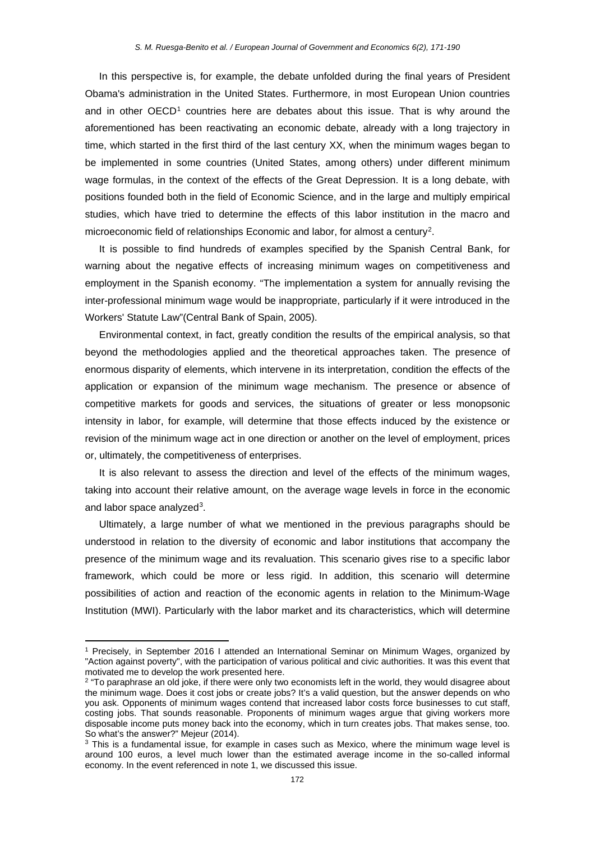In this perspective is, for example, the debate unfolded during the final years of President Obama's administration in the United States. Furthermore, in most European Union countries and in other  $OECD<sup>1</sup>$  $OECD<sup>1</sup>$  $OECD<sup>1</sup>$  countries here are debates about this issue. That is why around the aforementioned has been reactivating an economic debate, already with a long trajectory in time, which started in the first third of the last century XX, when the minimum wages began to be implemented in some countries (United States, among others) under different minimum wage formulas, in the context of the effects of the Great Depression. It is a long debate, with positions founded both in the field of Economic Science, and in the large and multiply empirical studies, which have tried to determine the effects of this labor institution in the macro and microeconomic field of relationships Economic and labor, for almost a century<sup>[2](#page-1-1)</sup>.

It is possible to find hundreds of examples specified by the Spanish Central Bank, for warning about the negative effects of increasing minimum wages on competitiveness and employment in the Spanish economy. "The implementation a system for annually revising the inter-professional minimum wage would be inappropriate, particularly if it were introduced in the Workers' Statute Law"(Central Bank of Spain, 2005).

Environmental context, in fact, greatly condition the results of the empirical analysis, so that beyond the methodologies applied and the theoretical approaches taken. The presence of enormous disparity of elements, which intervene in its interpretation, condition the effects of the application or expansion of the minimum wage mechanism. The presence or absence of competitive markets for goods and services, the situations of greater or less monopsonic intensity in labor, for example, will determine that those effects induced by the existence or revision of the minimum wage act in one direction or another on the level of employment, prices or, ultimately, the competitiveness of enterprises.

It is also relevant to assess the direction and level of the effects of the minimum wages, taking into account their relative amount, on the average wage levels in force in the economic and labor space analyzed[3](#page-1-2).

Ultimately, a large number of what we mentioned in the previous paragraphs should be understood in relation to the diversity of economic and labor institutions that accompany the presence of the minimum wage and its revaluation. This scenario gives rise to a specific labor framework, which could be more or less rigid. In addition, this scenario will determine possibilities of action and reaction of the economic agents in relation to the Minimum-Wage Institution (MWI). Particularly with the labor market and its characteristics, which will determine

**.** 

<span id="page-1-0"></span><sup>1</sup> Precisely, in September 2016 I attended an International Seminar on Minimum Wages, organized by "Action against poverty", with the participation of various political and civic authorities. It was this event that motivated me to develop the work presented here.

<span id="page-1-1"></span> $2$  "To paraphrase an old joke, if there were only two economists left in the world, they would disagree about the minimum wage. Does it cost jobs or create jobs? It's a valid question, but the answer depends on who you ask. Opponents of minimum wages contend that increased labor costs force businesses to cut staff, costing jobs. That sounds reasonable. Proponents of minimum wages argue that giving workers more disposable income puts money back into the economy, which in turn creates jobs. That makes sense, too. So what's the answer?" Mejeur (2014).

<span id="page-1-2"></span><sup>&</sup>lt;sup>3</sup> This is a fundamental issue, for example in cases such as Mexico, where the minimum wage level is around 100 euros, a level much lower than the estimated average income in the so-called informal economy. In the event referenced in note 1, we discussed this issue.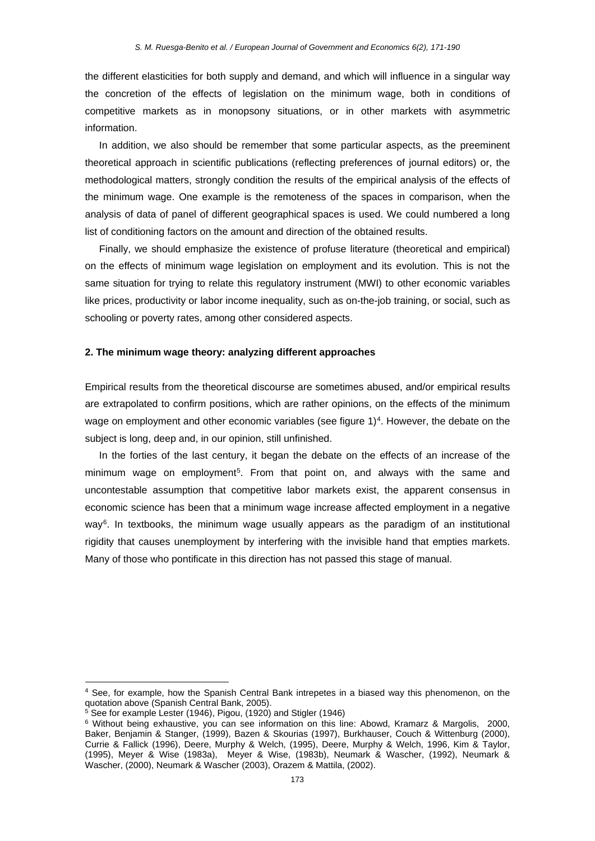the different elasticities for both supply and demand, and which will influence in a singular way the concretion of the effects of legislation on the minimum wage, both in conditions of competitive markets as in monopsony situations, or in other markets with asymmetric information.

In addition, we also should be remember that some particular aspects, as the preeminent theoretical approach in scientific publications (reflecting preferences of journal editors) or, the methodological matters, strongly condition the results of the empirical analysis of the effects of the minimum wage. One example is the remoteness of the spaces in comparison, when the analysis of data of panel of different geographical spaces is used. We could numbered a long list of conditioning factors on the amount and direction of the obtained results.

Finally, we should emphasize the existence of profuse literature (theoretical and empirical) on the effects of minimum wage legislation on employment and its evolution. This is not the same situation for trying to relate this regulatory instrument (MWI) to other economic variables like prices, productivity or labor income inequality, such as on-the-job training, or social, such as schooling or poverty rates, among other considered aspects.

#### **2. The minimum wage theory: analyzing different approaches**

Empirical results from the theoretical discourse are sometimes abused, and/or empirical results are extrapolated to confirm positions, which are rather opinions, on the effects of the minimum wage on employment and other economic variables (see figure  $1)^4$ . However, the debate on the subject is long, deep and, in our opinion, still unfinished.

In the forties of the last century, it began the debate on the effects of an increase of the minimum wage on employment<sup>5</sup>. From that point on, and always with the same and uncontestable assumption that competitive labor markets exist, the apparent consensus in economic science has been that a minimum wage increase affected employment in a negative  $way<sup>6</sup>$ . In textbooks, the minimum wage usually appears as the paradigm of an institutional rigidity that causes unemployment by interfering with the invisible hand that empties markets. Many of those who pontificate in this direction has not passed this stage of manual.

 $\overline{\phantom{a}}$ 

<span id="page-2-0"></span><sup>4</sup> See, for example, how the Spanish Central Bank intrepetes in a biased way this phenomenon, on the quotation above (Spanish Central Bank, 2005).

<span id="page-2-1"></span><sup>5</sup> See for example Lester (1946), Pigou, (1920) and Stigler (1946)

<span id="page-2-2"></span><sup>6</sup> Without being exhaustive, you can see information on this line: Abowd, Kramarz & Margolis, 2000, Baker, Benjamin & Stanger, (1999), Bazen & Skourias (1997), Burkhauser, Couch & Wittenburg (2000), Currie & Fallick (1996), Deere, Murphy & Welch, (1995), Deere, Murphy & Welch, 1996, Kim & Taylor, (1995), Meyer & Wise (1983a), Meyer & Wise, (1983b), Neumark & Wascher, (1992), Neumark & Wascher, (2000), Neumark & Wascher (2003), Orazem & Mattila, (2002).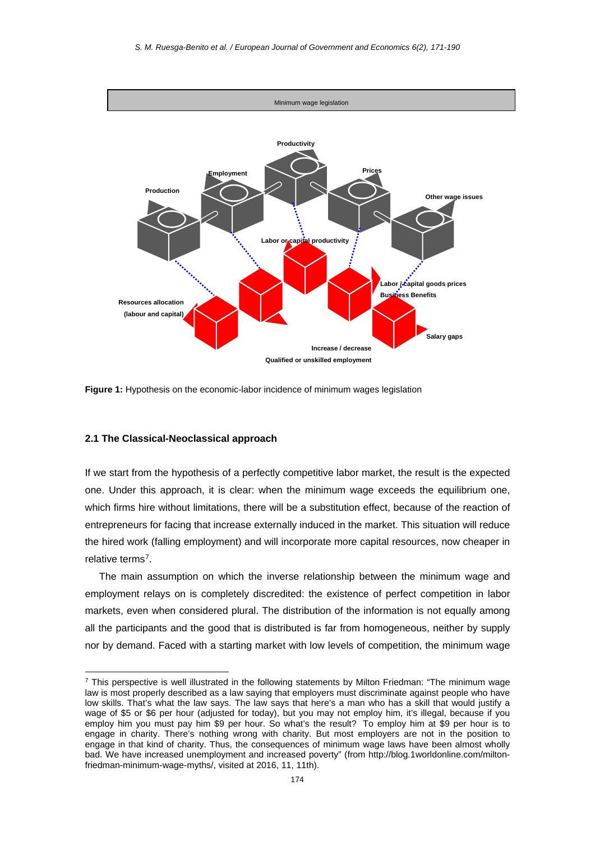



#### **2.1 The Classical-Neoclassical approach**

**.** 

If we start from the hypothesis of a perfectly competitive labor market, the result is the expected one. Under this approach, it is clear: when the minimum wage exceeds the equilibrium one, which firms hire without limitations, there will be a substitution effect, because of the reaction of entrepreneurs for facing that increase externally induced in the market. This situation will reduce the hired work (falling employment) and will incorporate more capital resources, now cheaper in relative terms[7](#page-3-0).

The main assumption on which the inverse relationship between the minimum wage and employment relays on is completely discredited: the existence of perfect competition in labor markets, even when considered plural. The distribution of the information is not equally among all the participants and the good that is distributed is far from homogeneous, neither by supply nor by demand. Faced with a starting market with low levels of competition, the minimum wage

<span id="page-3-0"></span><sup>&</sup>lt;sup>7</sup> This perspective is well illustrated in the following statements by Milton Friedman: "The minimum wage law is most properly described as a law saying that employers must discriminate against people who have low skills. That's what the law says. The law says that here's a man who has a skill that would justify a wage of \$5 or \$6 per hour (adjusted for today), but you may not employ him, it's illegal, because if you employ him you must pay him \$9 per hour. So what's the result? To employ him at \$9 per hour is to engage in charity. There's nothing wrong with charity. But most employers are not in the position to engage in that kind of charity. Thus, the consequences of minimum wage laws have been almost wholly bad. We have increased unemployment and increased poverty" (from http://blog.1worldonline.com/miltonfriedman-minimum-wage-myths/, visited at 2016, 11, 11th).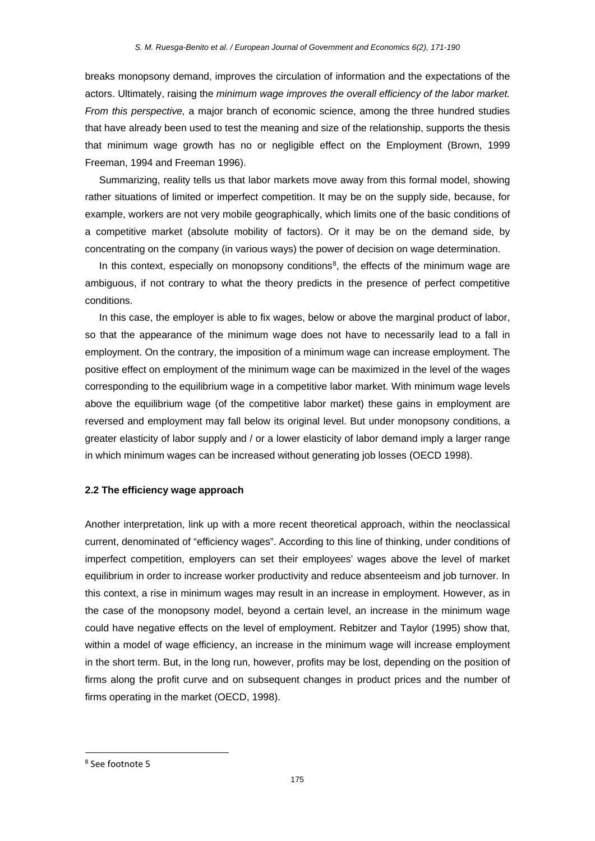breaks monopsony demand, improves the circulation of information and the expectations of the actors. Ultimately, raising the *minimum wage improves the overall efficiency of the labor market. From this perspective,* a major branch of economic science, among the three hundred studies that have already been used to test the meaning and size of the relationship, supports the thesis that minimum wage growth has no or negligible effect on the Employment (Brown, 1999 Freeman, 1994 and Freeman 1996).

Summarizing, reality tells us that labor markets move away from this formal model, showing rather situations of limited or imperfect competition. It may be on the supply side, because, for example, workers are not very mobile geographically, which limits one of the basic conditions of a competitive market (absolute mobility of factors). Or it may be on the demand side, by concentrating on the company (in various ways) the power of decision on wage determination.

In this context, especially on monopsony conditions<sup>8</sup>, the effects of the minimum wage are ambiguous, if not contrary to what the theory predicts in the presence of perfect competitive conditions.

In this case, the employer is able to fix wages, below or above the marginal product of labor, so that the appearance of the minimum wage does not have to necessarily lead to a fall in employment. On the contrary, the imposition of a minimum wage can increase employment. The positive effect on employment of the minimum wage can be maximized in the level of the wages corresponding to the equilibrium wage in a competitive labor market. With minimum wage levels above the equilibrium wage (of the competitive labor market) these gains in employment are reversed and employment may fall below its original level. But under monopsony conditions, a greater elasticity of labor supply and / or a lower elasticity of labor demand imply a larger range in which minimum wages can be increased without generating job losses (OECD 1998).

## **2.2 The efficiency wage approach**

Another interpretation, link up with a more recent theoretical approach, within the neoclassical current, denominated of "efficiency wages". According to this line of thinking, under conditions of imperfect competition, employers can set their employees' wages above the level of market equilibrium in order to increase worker productivity and reduce absenteeism and job turnover. In this context, a rise in minimum wages may result in an increase in employment. However, as in the case of the monopsony model, beyond a certain level, an increase in the minimum wage could have negative effects on the level of employment. Rebitzer and Taylor (1995) show that, within a model of wage efficiency, an increase in the minimum wage will increase employment in the short term. But, in the long run, however, profits may be lost, depending on the position of firms along the profit curve and on subsequent changes in product prices and the number of firms operating in the market (OECD, 1998).

<span id="page-4-0"></span> <sup>8</sup> See footnote 5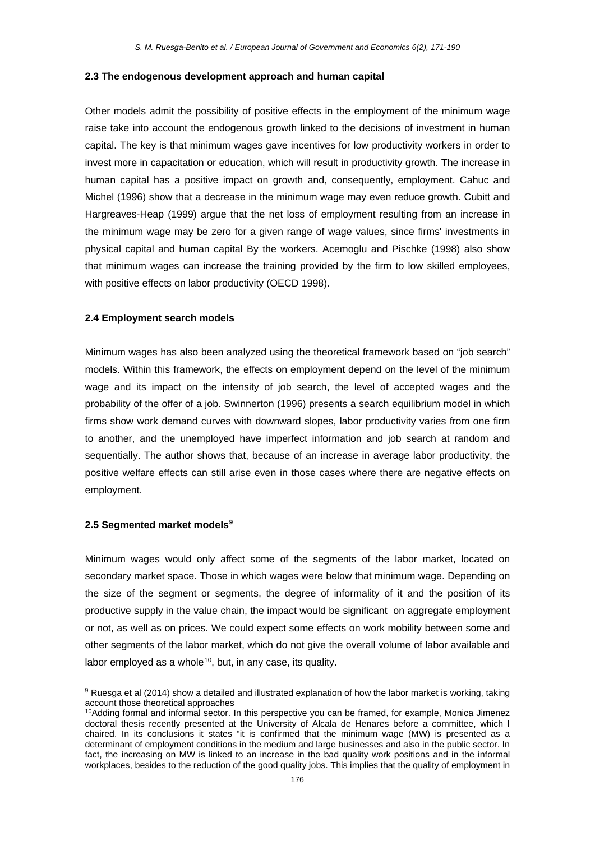#### **2.3 The endogenous development approach and human capital**

Other models admit the possibility of positive effects in the employment of the minimum wage raise take into account the endogenous growth linked to the decisions of investment in human capital. The key is that minimum wages gave incentives for low productivity workers in order to invest more in capacitation or education, which will result in productivity growth. The increase in human capital has a positive impact on growth and, consequently, employment. Cahuc and Michel (1996) show that a decrease in the minimum wage may even reduce growth. Cubitt and Hargreaves-Heap (1999) argue that the net loss of employment resulting from an increase in the minimum wage may be zero for a given range of wage values, since firms' investments in physical capital and human capital By the workers. Acemoglu and Pischke (1998) also show that minimum wages can increase the training provided by the firm to low skilled employees, with positive effects on labor productivity (OECD 1998).

#### **2.4 Employment search models**

Minimum wages has also been analyzed using the theoretical framework based on "job search" models. Within this framework, the effects on employment depend on the level of the minimum wage and its impact on the intensity of job search, the level of accepted wages and the probability of the offer of a job. Swinnerton (1996) presents a search equilibrium model in which firms show work demand curves with downward slopes, labor productivity varies from one firm to another, and the unemployed have imperfect information and job search at random and sequentially. The author shows that, because of an increase in average labor productivity, the positive welfare effects can still arise even in those cases where there are negative effects on employment.

#### **2.5 Segmented market models[9](#page-5-0)**

Minimum wages would only affect some of the segments of the labor market, located on secondary market space. Those in which wages were below that minimum wage. Depending on the size of the segment or segments, the degree of informality of it and the position of its productive supply in the value chain, the impact would be significant on aggregate employment or not, as well as on prices. We could expect some effects on work mobility between some and other segments of the labor market, which do not give the overall volume of labor available and labor employed as a whole $10$ , but, in any case, its quality.

<span id="page-5-0"></span> $\overline{\phantom{a}}$ <sup>9</sup> Ruesga et al (2014) show a detailed and illustrated explanation of how the labor market is working, taking account those theoretical approaches

<span id="page-5-1"></span><sup>&</sup>lt;sup>10</sup>Adding formal and informal sector. In this perspective you can be framed, for example, Monica Jimenez doctoral thesis recently presented at the University of Alcala de Henares before a committee, which I chaired. In its conclusions it states "it is confirmed that the minimum wage (MW) is presented as a determinant of employment conditions in the medium and large businesses and also in the public sector. In fact, the increasing on MW is linked to an increase in the bad quality work positions and in the informal workplaces, besides to the reduction of the good quality jobs. This implies that the quality of employment in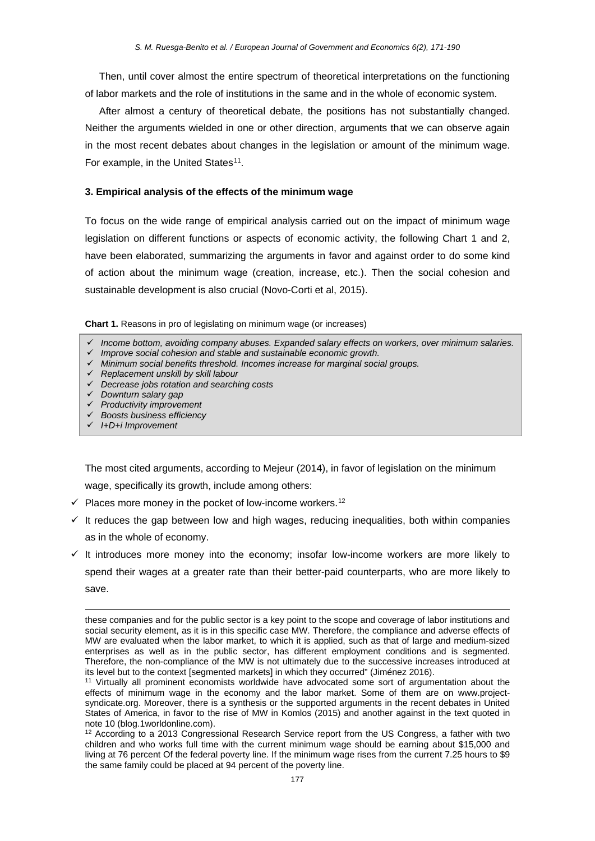Then, until cover almost the entire spectrum of theoretical interpretations on the functioning of labor markets and the role of institutions in the same and in the whole of economic system.

After almost a century of theoretical debate, the positions has not substantially changed. Neither the arguments wielded in one or other direction, arguments that we can observe again in the most recent debates about changes in the legislation or amount of the minimum wage. For example, in the United States<sup>[11](#page-6-0)</sup>.

## **3. Empirical analysis of the effects of the minimum wage**

To focus on the wide range of empirical analysis carried out on the impact of minimum wage legislation on different functions or aspects of economic activity, the following Chart 1 and 2, have been elaborated, summarizing the arguments in favor and against order to do some kind of action about the minimum wage (creation, increase, etc.). Then the social cohesion and sustainable development is also crucial (Novo-Corti et al, 2015).

**Chart 1.** Reasons in pro of legislating on minimum wage (or increases)

- *Income bottom, avoiding company abuses. Expanded salary effects on workers, over minimum salaries.*
- *Improve social cohesion and stable and sustainable economic growth.*
- *Minimum social benefits threshold. Incomes increase for marginal social groups.*
- *Replacement unskill by skill labour*
- *Decrease jobs rotation and searching costs*
- *Downturn salary gap*
- *Productivity improvement*
- *Boosts business efficiency*
- *I+D+i Improvement*

 $\overline{\phantom{a}}$ 

The most cited arguments, according to Mejeur (2014), in favor of legislation on the minimum

wage, specifically its growth, include among others:

- $\checkmark$  Places more money in the pocket of low-income workers.<sup>[12](#page-6-1)</sup>
- $\checkmark$  It reduces the gap between low and high wages, reducing inequalities, both within companies as in the whole of economy.
- $\checkmark$  It introduces more money into the economy; insofar low-income workers are more likely to spend their wages at a greater rate than their better-paid counterparts, who are more likely to save.

these companies and for the public sector is a key point to the scope and coverage of labor institutions and social security element, as it is in this specific case MW. Therefore, the compliance and adverse effects of MW are evaluated when the labor market, to which it is applied, such as that of large and medium-sized enterprises as well as in the public sector, has different employment conditions and is segmented. Therefore, the non-compliance of the MW is not ultimately due to the successive increases introduced at its level but to the context [segmented markets] in which they occurred" (Jiménez 2016).

<span id="page-6-0"></span><sup>11</sup> Virtually all prominent economists worldwide have advocated some sort of argumentation about the effects of minimum wage in the economy and the labor market. Some of them are on www.projectsyndicate.org. Moreover, there is a synthesis or the supported arguments in the recent debates in United States of America, in favor to the rise of MW in Komlos (2015) and another against in the text quoted in note 10 (blog.1worldonline.com).

<span id="page-6-1"></span><sup>&</sup>lt;sup>12</sup> According to a 2013 Congressional Research Service report from the US Congress, a father with two children and who works full time with the current minimum wage should be earning about \$15,000 and living at 76 percent Of the federal poverty line. If the minimum wage rises from the current 7.25 hours to \$9 the same family could be placed at 94 percent of the poverty line.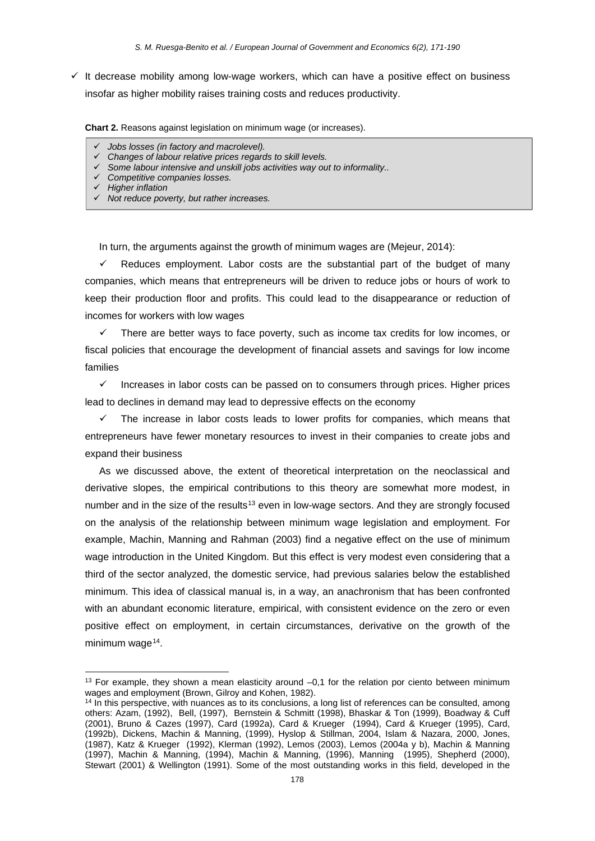$\checkmark$  It decrease mobility among low-wage workers, which can have a positive effect on business insofar as higher mobility raises training costs and reduces productivity.

**Chart 2.** Reasons against legislation on minimum wage (or increases).

- *Jobs losses (in factory and macrolevel).*
- *Changes of labour relative prices regards to skill levels.*
- *Some labour intensive and unskill jobs activities way out to informality..*
- *Competitive companies losses.*
- *Higher inflation*

**.** 

*Not reduce poverty, but rather increases.* 

In turn, the arguments against the growth of minimum wages are (Mejeur, 2014):

 $\checkmark$  Reduces employment. Labor costs are the substantial part of the budget of many companies, which means that entrepreneurs will be driven to reduce jobs or hours of work to keep their production floor and profits. This could lead to the disappearance or reduction of incomes for workers with low wages

 $\checkmark$  There are better ways to face poverty, such as income tax credits for low incomes, or fiscal policies that encourage the development of financial assets and savings for low income families

 $\checkmark$  Increases in labor costs can be passed on to consumers through prices. Higher prices lead to declines in demand may lead to depressive effects on the economy

 $\checkmark$  The increase in labor costs leads to lower profits for companies, which means that entrepreneurs have fewer monetary resources to invest in their companies to create jobs and expand their business

As we discussed above, the extent of theoretical interpretation on the neoclassical and derivative slopes, the empirical contributions to this theory are somewhat more modest, in number and in the size of the results<sup>[13](#page-7-0)</sup> even in low-wage sectors. And they are strongly focused on the analysis of the relationship between minimum wage legislation and employment. For example, Machin, Manning and Rahman (2003) find a negative effect on the use of minimum wage introduction in the United Kingdom. But this effect is very modest even considering that a third of the sector analyzed, the domestic service, had previous salaries below the established minimum. This idea of classical manual is, in a way, an anachronism that has been confronted with an abundant economic literature, empirical, with consistent evidence on the zero or even positive effect on employment, in certain circumstances, derivative on the growth of the minimum wage $14$ .

<span id="page-7-0"></span> $13$  For example, they shown a mean elasticity around  $-0.1$  for the relation por ciento between minimum wages and employment (Brown, Gilroy and Kohen, 1982).

<span id="page-7-1"></span><sup>&</sup>lt;sup>14</sup> In this perspective, with nuances as to its conclusions, a long list of references can be consulted, among others: Azam, (1992), Bell, (1997), Bernstein & Schmitt (1998), Bhaskar & Ton (1999), Boadway & Cuff (2001), Bruno & Cazes (1997), Card (1992a), Card & Krueger (1994), Card & Krueger (1995), Card, (1992b), Dickens, Machin & Manning, (1999), Hyslop & Stillman, 2004, Islam & Nazara, 2000, Jones, (1987), Katz & Krueger (1992), Klerman (1992), Lemos (2003), Lemos (2004a y b), Machin & Manning (1997), Machin & Manning, (1994), Machin & Manning, (1996), Manning (1995), Shepherd (2000), Stewart (2001) & Wellington (1991). Some of the most outstanding works in this field, developed in the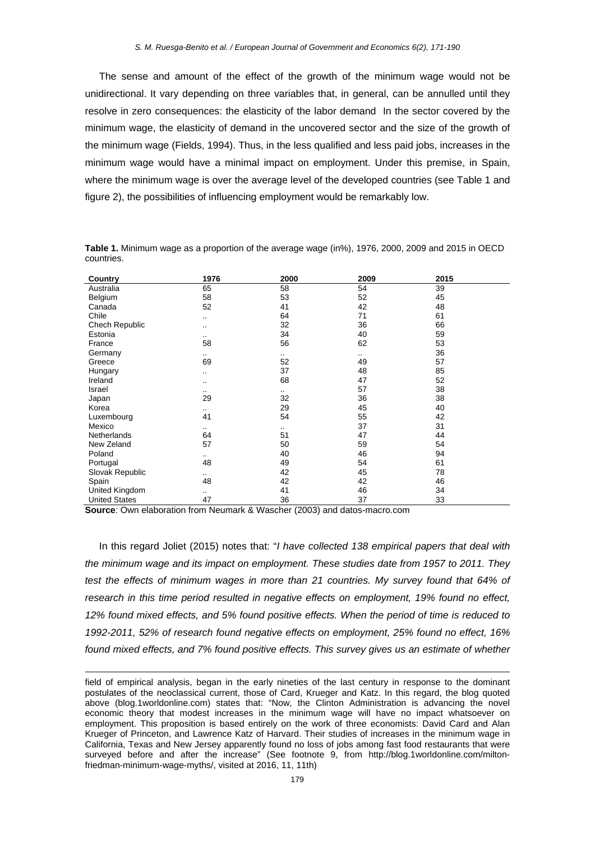The sense and amount of the effect of the growth of the minimum wage would not be unidirectional. It vary depending on three variables that, in general, can be annulled until they resolve in zero consequences: the elasticity of the labor demand In the sector covered by the minimum wage, the elasticity of demand in the uncovered sector and the size of the growth of the minimum wage (Fields, 1994). Thus, in the less qualified and less paid jobs, increases in the minimum wage would have a minimal impact on employment. Under this premise, in Spain, where the minimum wage is over the average level of the developed countries (see Table 1 and figure 2), the possibilities of influencing employment would be remarkably low.

| Country              | 1976     | 2000      | 2009 | 2015 |
|----------------------|----------|-----------|------|------|
| Australia            | 65       | 58        | 54   | 39   |
| Belgium              | 58       | 53        | 52   | 45   |
| Canada               | 52       | 41        | 42   | 48   |
| Chile                |          | 64        | 71   | 61   |
| Chech Republic       | ٠.       | 32        | 36   | 66   |
| Estonia              |          | 34        | 40   | 59   |
| France               | 58       | 56        | 62   | 53   |
| Germany              | $\sim$   | $\cdot$ . | ٠.   | 36   |
| Greece               | 69       | 52        | 49   | 57   |
| Hungary              |          | 37        | 48   | 85   |
| Ireland              | ٠.       | 68        | 47   | 52   |
| Israel               | $\sim$   | $\cdot$ . | 57   | 38   |
| Japan                | 29       | 32        | 36   | 38   |
| Korea                | $\cdots$ | 29        | 45   | 40   |
| Luxembourg           | 41       | 54        | 55   | 42   |
| Mexico               | $\sim$   | $\sim$    | 37   | 31   |
| Netherlands          | 64       | 51        | 47   | 44   |
| New Zeland           | 57       | 50        | 59   | 54   |
| Poland               | $\sim$   | 40        | 46   | 94   |
| Portugal             | 48       | 49        | 54   | 61   |
| Slovak Republic      | $\sim$   | 42        | 45   | 78   |
| Spain                | 48       | 42        | 42   | 46   |
| United Kingdom       | $\cdots$ | 41        | 46   | 34   |
| <b>United States</b> | 47       | 36        | 37   | 33   |

**Table 1.** Minimum wage as a proportion of the average wage (in%), 1976, 2000, 2009 and 2015 in OECD countries.

**Source**: Own elaboration from Neumark & Wascher (2003) and datos-macro.com

**.** 

In this regard Joliet (2015) notes that: "*I have collected 138 empirical papers that deal with the minimum wage and its impact on employment. These studies date from 1957 to 2011. They*  test the effects of minimum wages in more than 21 countries. My survey found that 64% of *research in this time period resulted in negative effects on employment, 19% found no effect, 12% found mixed effects, and 5% found positive effects. When the period of time is reduced to 1992-2011, 52% of research found negative effects on employment, 25% found no effect, 16% found mixed effects, and 7% found positive effects. This survey gives us an estimate of whether* 

field of empirical analysis, began in the early nineties of the last century in response to the dominant postulates of the neoclassical current, those of Card, Krueger and Katz. In this regard, the blog quoted above (blog.1worldonline.com) states that: "Now, the Clinton Administration is advancing the novel economic theory that modest increases in the minimum wage will have no impact whatsoever on employment. This proposition is based entirely on the work of three economists: David Card and Alan Krueger of Princeton, and Lawrence Katz of Harvard. Their studies of increases in the minimum wage in California, Texas and New Jersey apparently found no loss of jobs among fast food restaurants that were surveyed before and after the increase" (See footnote 9, from http://blog.1worldonline.com/miltonfriedman-minimum-wage-myths/, visited at 2016, 11, 11th)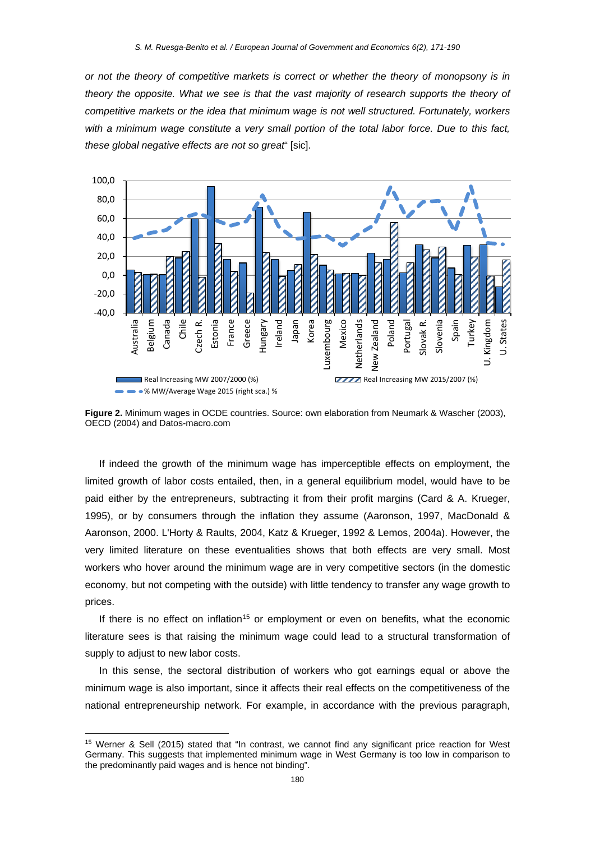*or not the theory of competitive markets is correct or whether the theory of monopsony is in theory the opposite. What we see is that the vast majority of research supports the theory of competitive markets or the idea that minimum wage is not well structured. Fortunately, workers with a minimum wage constitute a very small portion of the total labor force. Due to this fact, these global negative effects are not so great*" [sic].



**Figure 2.** Minimum wages in OCDE countries. Source: own elaboration from Neumark & Wascher (2003), OECD (2004) and Datos-macro.com

If indeed the growth of the minimum wage has imperceptible effects on employment, the limited growth of labor costs entailed, then, in a general equilibrium model, would have to be paid either by the entrepreneurs, subtracting it from their profit margins (Card & A. Krueger, 1995), or by consumers through the inflation they assume (Aaronson, 1997, MacDonald & Aaronson, 2000. L'Horty & Raults, 2004, Katz & Krueger, 1992 & Lemos, 2004a). However, the very limited literature on these eventualities shows that both effects are very small. Most workers who hover around the minimum wage are in very competitive sectors (in the domestic economy, but not competing with the outside) with little tendency to transfer any wage growth to prices.

If there is no effect on inflation<sup>[15](#page-9-0)</sup> or employment or even on benefits, what the economic literature sees is that raising the minimum wage could lead to a structural transformation of supply to adjust to new labor costs.

In this sense, the sectoral distribution of workers who got earnings equal or above the minimum wage is also important, since it affects their real effects on the competitiveness of the national entrepreneurship network. For example, in accordance with the previous paragraph,

 $\overline{\phantom{a}}$ 

<span id="page-9-0"></span><sup>15</sup> Werner & Sell (2015) stated that "In contrast, we cannot find any significant price reaction for West Germany. This suggests that implemented minimum wage in West Germany is too low in comparison to the predominantly paid wages and is hence not binding".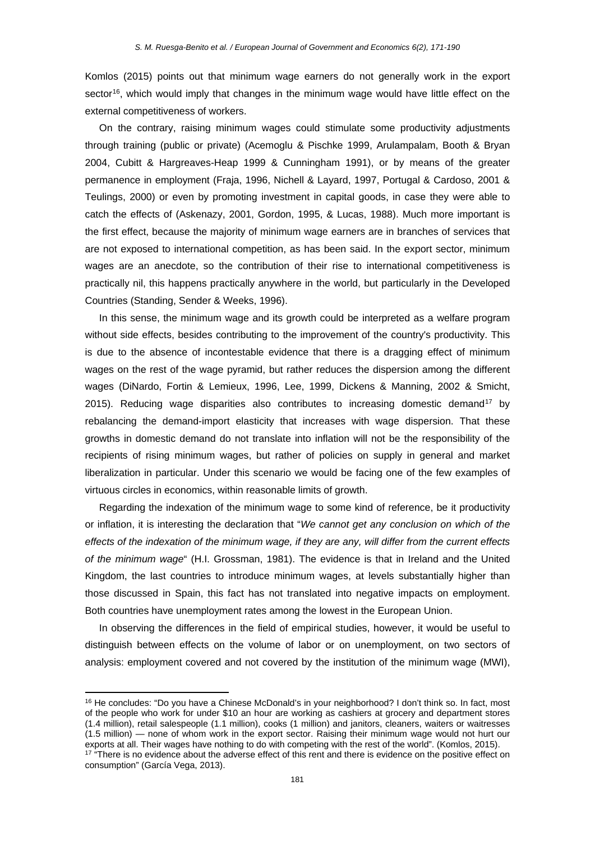Komlos (2015) points out that minimum wage earners do not generally work in the export sector<sup>[16](#page-10-0)</sup>, which would imply that changes in the minimum wage would have little effect on the external competitiveness of workers.

On the contrary, raising minimum wages could stimulate some productivity adjustments through training (public or private) (Acemoglu & Pischke 1999, Arulampalam, Booth & Bryan 2004, Cubitt & Hargreaves-Heap 1999 & Cunningham 1991), or by means of the greater permanence in employment (Fraja, 1996, Nichell & Layard, 1997, Portugal & Cardoso, 2001 & Teulings, 2000) or even by promoting investment in capital goods, in case they were able to catch the effects of (Askenazy, 2001, Gordon, 1995, & Lucas, 1988). Much more important is the first effect, because the majority of minimum wage earners are in branches of services that are not exposed to international competition, as has been said. In the export sector, minimum wages are an anecdote, so the contribution of their rise to international competitiveness is practically nil, this happens practically anywhere in the world, but particularly in the Developed Countries (Standing, Sender & Weeks, 1996).

In this sense, the minimum wage and its growth could be interpreted as a welfare program without side effects, besides contributing to the improvement of the country's productivity. This is due to the absence of incontestable evidence that there is a dragging effect of minimum wages on the rest of the wage pyramid, but rather reduces the dispersion among the different wages (DiNardo, Fortin & Lemieux, 1996, Lee, 1999, Dickens & Manning, 2002 & Smicht, 2015). Reducing wage disparities also contributes to increasing domestic demand<sup>[17](#page-10-1)</sup> by rebalancing the demand-import elasticity that increases with wage dispersion. That these growths in domestic demand do not translate into inflation will not be the responsibility of the recipients of rising minimum wages, but rather of policies on supply in general and market liberalization in particular. Under this scenario we would be facing one of the few examples of virtuous circles in economics, within reasonable limits of growth.

Regarding the indexation of the minimum wage to some kind of reference, be it productivity or inflation, it is interesting the declaration that "*We cannot get any conclusion on which of the effects of the indexation of the minimum wage, if they are any, will differ from the current effects of the minimum wage*" (H.I. Grossman, 1981). The evidence is that in Ireland and the United Kingdom, the last countries to introduce minimum wages, at levels substantially higher than those discussed in Spain, this fact has not translated into negative impacts on employment. Both countries have unemployment rates among the lowest in the European Union.

In observing the differences in the field of empirical studies, however, it would be useful to distinguish between effects on the volume of labor or on unemployment, on two sectors of analysis: employment covered and not covered by the institution of the minimum wage (MWI),

**.** 

<span id="page-10-0"></span><sup>&</sup>lt;sup>16</sup> He concludes: "Do you have a Chinese McDonald's in your neighborhood? I don't think so. In fact, most of the people who work for under \$10 an hour are working as cashiers at grocery and department stores (1.4 million), retail salespeople (1.1 million), cooks (1 million) and janitors, cleaners, waiters or waitresses (1.5 million) — none of whom work in the export sector. Raising their minimum wage would not hurt our exports at all. Their wages have nothing to do with competing with the rest of the world". (Komlos, 2015).

<span id="page-10-1"></span><sup>&</sup>lt;sup>17</sup> "There is no evidence about the adverse effect of this rent and there is evidence on the positive effect on consumption" (García Vega, 2013).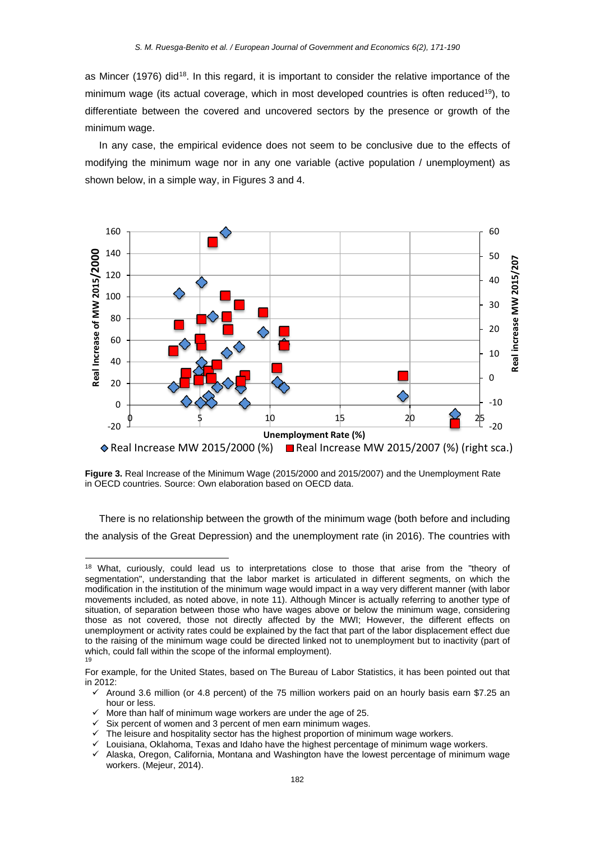as Mincer (1976) did<sup>18</sup>. In this regard, it is important to consider the relative importance of the minimum wage (its actual coverage, which in most developed countries is often reduced<sup>[19](#page-11-1)</sup>), to differentiate between the covered and uncovered sectors by the presence or growth of the minimum wage.

In any case, the empirical evidence does not seem to be conclusive due to the effects of modifying the minimum wage nor in any one variable (active population / unemployment) as shown below, in a simple way, in Figures 3 and 4.



**Figure 3.** Real Increase of the Minimum Wage (2015/2000 and 2015/2007) and the Unemployment Rate in OECD countries. Source: Own elaboration based on OECD data.

There is no relationship between the growth of the minimum wage (both before and including the analysis of the Great Depression) and the unemployment rate (in 2016). The countries with

More than half of minimum wage workers are under the age of 25.

**.** 

Six percent of women and 3 percent of men earn minimum wages.

Louisiana, Oklahoma, Texas and Idaho have the highest percentage of minimum wage workers.

<span id="page-11-0"></span><sup>&</sup>lt;sup>18</sup> What, curiously, could lead us to interpretations close to those that arise from the "theory of segmentation", understanding that the labor market is articulated in different segments, on which the modification in the institution of the minimum wage would impact in a way very different manner (with labor movements included, as noted above, in note 11). Although Mincer is actually referring to another type of situation, of separation between those who have wages above or below the minimum wage, considering those as not covered, those not directly affected by the MWI; However, the different effects on unemployment or activity rates could be explained by the fact that part of the labor displacement effect due to the raising of the minimum wage could be directed linked not to unemployment but to inactivity (part of which, could fall within the scope of the informal employment). 19

<span id="page-11-1"></span>For example, for the United States, based on The Bureau of Labor Statistics, it has been pointed out that in 2012:

Around 3.6 million (or 4.8 percent) of the 75 million workers paid on an hourly basis earn \$7.25 an hour or less.

 $\checkmark$  The leisure and hospitality sector has the highest proportion of minimum wage workers.<br> $\checkmark$  Louisiana, Oklahoma, Texas and Idaho have the highest perceptage of minimum wage

 $\checkmark$  Alaska, Oregon, California, Montana and Washington have the lowest percentage of minimum wage workers. (Mejeur, 2014).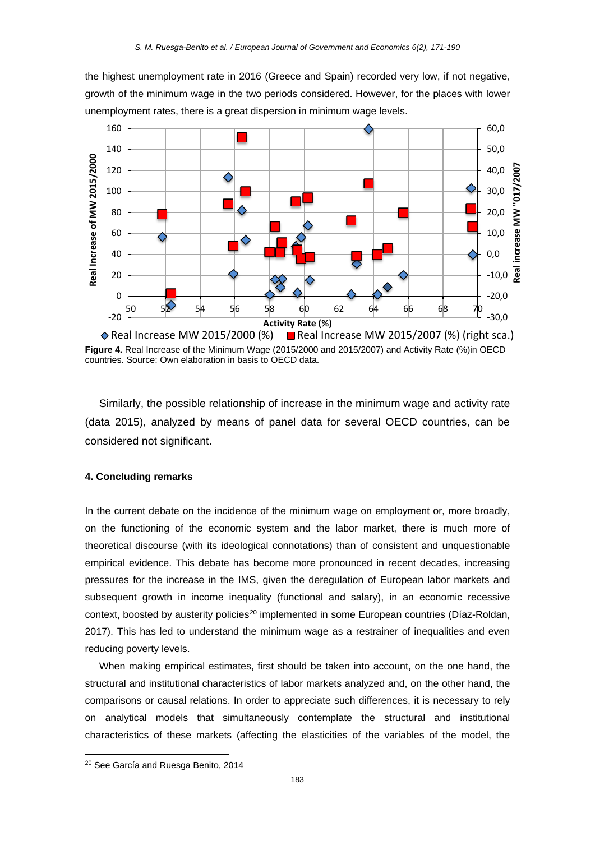the highest unemployment rate in 2016 (Greece and Spain) recorded very low, if not negative, growth of the minimum wage in the two periods considered. However, for the places with lower unemployment rates, there is a great dispersion in minimum wage levels.



**Figure 4.** Real Increase of the Minimum Wage (2015/2000 and 2015/2007) and Activity Rate (%)in OECD countries. Source: Own elaboration in basis to OECD data.

Similarly, the possible relationship of increase in the minimum wage and activity rate (data 2015), analyzed by means of panel data for several OECD countries, can be considered not significant.

## **4. Concluding remarks**

In the current debate on the incidence of the minimum wage on employment or, more broadly, on the functioning of the economic system and the labor market, there is much more of theoretical discourse (with its ideological connotations) than of consistent and unquestionable empirical evidence. This debate has become more pronounced in recent decades, increasing pressures for the increase in the IMS, given the deregulation of European labor markets and subsequent growth in income inequality (functional and salary), in an economic recessive context, boosted by austerity policies<sup>[20](#page-12-0)</sup> implemented in some European countries (Díaz-Roldan, 2017). This has led to understand the minimum wage as a restrainer of inequalities and even reducing poverty levels.

When making empirical estimates, first should be taken into account, on the one hand, the structural and institutional characteristics of labor markets analyzed and, on the other hand, the comparisons or causal relations. In order to appreciate such differences, it is necessary to rely on analytical models that simultaneously contemplate the structural and institutional characteristics of these markets (affecting the elasticities of the variables of the model, the

**.** 

<span id="page-12-0"></span><sup>20</sup> See García and Ruesga Benito, 2014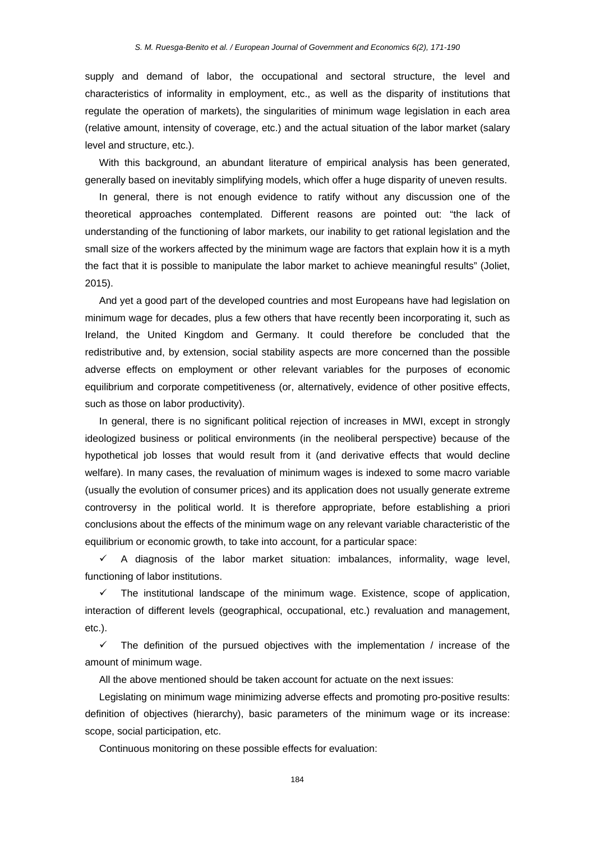supply and demand of labor, the occupational and sectoral structure, the level and characteristics of informality in employment, etc., as well as the disparity of institutions that regulate the operation of markets), the singularities of minimum wage legislation in each area (relative amount, intensity of coverage, etc.) and the actual situation of the labor market (salary level and structure, etc.).

With this background, an abundant literature of empirical analysis has been generated, generally based on inevitably simplifying models, which offer a huge disparity of uneven results.

In general, there is not enough evidence to ratify without any discussion one of the theoretical approaches contemplated. Different reasons are pointed out: "the lack of understanding of the functioning of labor markets, our inability to get rational legislation and the small size of the workers affected by the minimum wage are factors that explain how it is a myth the fact that it is possible to manipulate the labor market to achieve meaningful results" (Joliet, 2015).

And yet a good part of the developed countries and most Europeans have had legislation on minimum wage for decades, plus a few others that have recently been incorporating it, such as Ireland, the United Kingdom and Germany. It could therefore be concluded that the redistributive and, by extension, social stability aspects are more concerned than the possible adverse effects on employment or other relevant variables for the purposes of economic equilibrium and corporate competitiveness (or, alternatively, evidence of other positive effects, such as those on labor productivity).

In general, there is no significant political rejection of increases in MWI, except in strongly ideologized business or political environments (in the neoliberal perspective) because of the hypothetical job losses that would result from it (and derivative effects that would decline welfare). In many cases, the revaluation of minimum wages is indexed to some macro variable (usually the evolution of consumer prices) and its application does not usually generate extreme controversy in the political world. It is therefore appropriate, before establishing a priori conclusions about the effects of the minimum wage on any relevant variable characteristic of the equilibrium or economic growth, to take into account, for a particular space:

 $\checkmark$  A diagnosis of the labor market situation: imbalances, informality, wage level, functioning of labor institutions.

 $\checkmark$  The institutional landscape of the minimum wage. Existence, scope of application, interaction of different levels (geographical, occupational, etc.) revaluation and management, etc.).

 $\checkmark$  The definition of the pursued objectives with the implementation / increase of the amount of minimum wage.

All the above mentioned should be taken account for actuate on the next issues:

Legislating on minimum wage minimizing adverse effects and promoting pro-positive results: definition of objectives (hierarchy), basic parameters of the minimum wage or its increase: scope, social participation, etc.

Continuous monitoring on these possible effects for evaluation: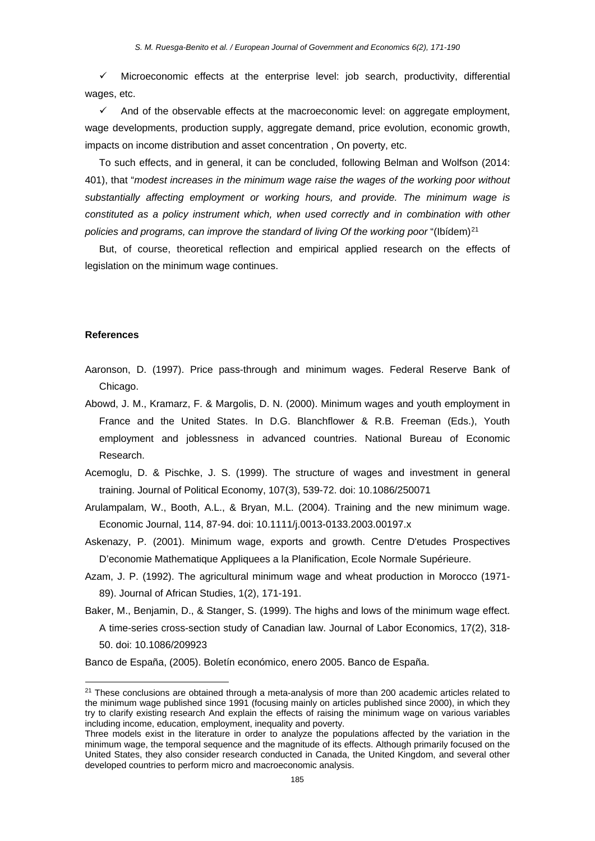$\checkmark$  Microeconomic effects at the enterprise level: job search, productivity, differential wages, etc.

 $\checkmark$  And of the observable effects at the macroeconomic level: on aggregate employment, wage developments, production supply, aggregate demand, price evolution, economic growth, impacts on income distribution and asset concentration , On poverty, etc.

To such effects, and in general, it can be concluded, following Belman and Wolfson (2014: 401), that "*modest increases in the minimum wage raise the wages of the working poor without substantially affecting employment or working hours, and provide. The minimum wage is constituted as a policy instrument which, when used correctly and in combination with other*  policies and programs, can improve the standard of living Of the working poor "(Ibídem)<sup>[21](#page-14-0)</sup>

But, of course, theoretical reflection and empirical applied research on the effects of legislation on the minimum wage continues.

#### **References**

 $\overline{a}$ 

- Aaronson, D. (1997). Price pass-through and minimum wages. Federal Reserve Bank of Chicago.
- Abowd, J. M., Kramarz, F. & Margolis, D. N. (2000). Minimum wages and youth employment in France and the United States. In D.G. Blanchflower & R.B. Freeman (Eds.), Youth employment and joblessness in advanced countries. National Bureau of Economic Research.
- Acemoglu, D. & Pischke, J. S. (1999). The structure of wages and investment in general training. Journal of Political Economy, 107(3), 539-72. doi: 10.1086/250071
- Arulampalam, W., Booth, A.L., & Bryan, M.L. (2004). Training and the new minimum wage. Economic Journal, 114, 87-94. doi: 10.1111/j.0013-0133.2003.00197.x
- Askenazy, P. (2001). Minimum wage, exports and growth. Centre D'etudes Prospectives D'economie Mathematique Appliquees a la Planification, Ecole Normale Supérieure.
- Azam, J. P. (1992). The agricultural minimum wage and wheat production in Morocco (1971- 89). Journal of African Studies, 1(2), 171-191.
- Baker, M., Benjamin, D., & Stanger, S. (1999). The highs and lows of the minimum wage effect. A time-series cross-section study of Canadian law. Journal of Labor Economics, 17(2), 318- 50. doi: 10.1086/209923

Banco de España, (2005). Boletín económico, enero 2005. Banco de España.

<span id="page-14-0"></span> $21$  These conclusions are obtained through a meta-analysis of more than 200 academic articles related to the minimum wage published since 1991 (focusing mainly on articles published since 2000), in which they try to clarify existing research And explain the effects of raising the minimum wage on various variables including income, education, employment, inequality and poverty.

Three models exist in the literature in order to analyze the populations affected by the variation in the minimum wage, the temporal sequence and the magnitude of its effects. Although primarily focused on the United States, they also consider research conducted in Canada, the United Kingdom, and several other developed countries to perform micro and macroeconomic analysis.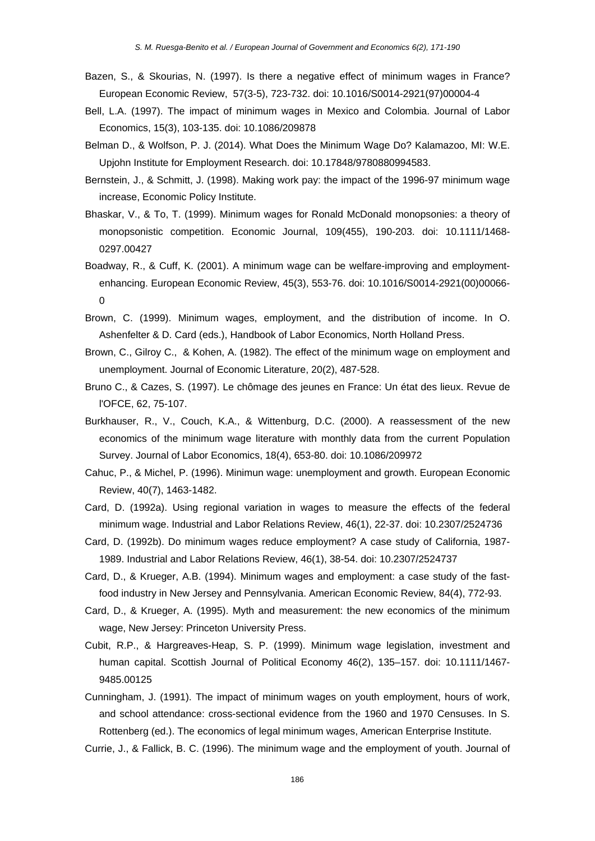- Bazen, S., & Skourias, N. (1997). Is there a negative effect of minimum wages in France? European Economic Review, 57(3-5), 723-732. doi: 10.1016/S0014-2921(97)00004-4
- Bell, L.A. (1997). The impact of minimum wages in Mexico and Colombia. Journal of Labor Economics, 15(3), 103-135. doi: 10.1086/209878
- Belman D., & Wolfson, P. J. (2014). What Does the Minimum Wage Do? Kalamazoo, MI: W.E. Upjohn Institute for Employment Research[. doi: 10.17848/9780880994583.](http://dx.doi.org/10.17848/9780880994583)
- Bernstein, J., & Schmitt, J. (1998). Making work pay: the impact of the 1996-97 minimum wage increase, Economic Policy Institute.
- Bhaskar, V., & To, T. (1999). Minimum wages for Ronald McDonald monopsonies: a theory of monopsonistic competition. Economic Journal, 109(455), 190-203. doi: 10.1111/1468- 0297.00427
- Boadway, R., & Cuff, K. (2001). A minimum wage can be welfare-improving and employmentenhancing. European Economic Review, 45(3), 553-76. doi: 10.1016/S0014-2921(00)00066- 0
- Brown, C. (1999). Minimum wages, employment, and the distribution of income. In O. Ashenfelter & D. Card (eds.), Handbook of Labor Economics, North Holland Press.
- Brown, C., Gilroy C., & Kohen, A. (1982). The effect of the minimum wage on employment and unemployment. Journal of Economic Literature, 20(2), 487-528.
- Bruno C., & Cazes, S. (1997). Le chômage des jeunes en France: Un état des lieux. Revue de l'OFCE, 62, 75-107.
- Burkhauser, R., V., Couch, K.A., & Wittenburg, D.C. (2000). A reassessment of the new economics of the minimum wage literature with monthly data from the current Population Survey. Journal of Labor Economics, 18(4), 653-80. doi: 10.1086/209972
- Cahuc, P., & Michel, P. (1996). Minimun wage: unemployment and growth. European Economic Review, 40(7), 1463-1482.
- Card, D. (1992a). Using regional variation in wages to measure the effects of the federal minimum wage. Industrial and Labor Relations Review, 46(1), 22-37. doi: 10.2307/2524736
- Card, D. (1992b). Do minimum wages reduce employment? A case study of California, 1987- 1989. Industrial and Labor Relations Review, 46(1), 38-54. doi: 10.2307/2524737
- Card, D., & Krueger, A.B. (1994). Minimum wages and employment: a case study of the fastfood industry in New Jersey and Pennsylvania. American Economic Review, 84(4), 772-93.
- Card, D., & Krueger, A. (1995). Myth and measurement: the new economics of the minimum wage, New Jersey: Princeton University Press.
- Cubit, R.P., & Hargreaves-Heap, S. P. (1999). Minimum wage legislation, investment and human capital. Scottish Journal of Political Economy 46(2), 135–157. doi: 10.1111/1467- 9485.00125
- Cunningham, J. (1991). The impact of minimum wages on youth employment, hours of work, and school attendance: cross-sectional evidence from the 1960 and 1970 Censuses. In S. Rottenberg (ed.). The economics of legal minimum wages, American Enterprise Institute.

Currie, J., & Fallick, B. C. (1996). The minimum wage and the employment of youth. Journal of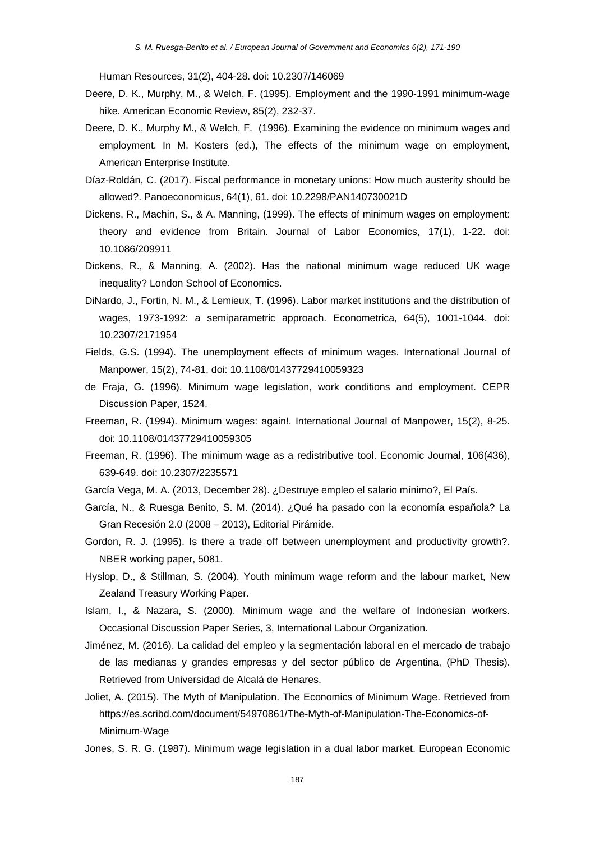Human Resources, 31(2), 404-28. doi: 10.2307/146069

- Deere, D. K., Murphy, M., & Welch, F. (1995). Employment and the 1990-1991 minimum-wage hike. American Economic Review, 85(2), 232-37.
- Deere, D. K., Murphy M., & Welch, F. (1996). Examining the evidence on minimum wages and employment. In M. Kosters (ed.), The effects of the minimum wage on employment, American Enterprise Institute.
- Díaz-Roldán, C. (2017). Fiscal performance in monetary unions: How much austerity should be allowed?. Panoeconomicus, 64(1), 61. doi: 10.2298/PAN140730021D
- Dickens, R., Machin, S., & A. Manning, (1999). The effects of minimum wages on employment: theory and evidence from Britain. Journal of Labor Economics, 17(1), 1-22. doi: 10.1086/209911
- Dickens, R., & Manning, A. (2002). Has the national minimum wage reduced UK wage inequality? London School of Economics.
- DiNardo, J., Fortin, N. M., & Lemieux, T. (1996). Labor market institutions and the distribution of wages, 1973-1992: a semiparametric approach. Econometrica, 64(5), 1001-1044. doi: 10.2307/2171954
- Fields, G.S. (1994). The unemployment effects of minimum wages. International Journal of Manpower, 15(2), 74-81. doi: 10.1108/01437729410059323
- de Fraja, G. (1996). Minimum wage legislation, work conditions and employment. CEPR Discussion Paper, 1524.
- Freeman, R. (1994). Minimum wages: again!. International Journal of Manpower, 15(2), 8-25. doi: 10.1108/01437729410059305
- Freeman, R. (1996). The minimum wage as a redistributive tool. Economic Journal, 106(436), 639-649. doi: 10.2307/2235571
- García Vega, M. A. (2013, December 28). ¿Destruye empleo el salario mínimo?, El País.
- García, N., & Ruesga Benito, S. M. (2014). ¿Qué ha pasado con la economía española? La Gran Recesión 2.0 (2008 – 2013), Editorial Pirámide.
- Gordon, R. J. (1995). Is there a trade off between unemployment and productivity growth?. NBER working paper, 5081.
- Hyslop, D., & Stillman, S. (2004). Youth minimum wage reform and the labour market, New Zealand Treasury Working Paper.
- Islam, I., & Nazara, S. (2000). Minimum wage and the welfare of Indonesian workers. Occasional Discussion Paper Series, 3, International Labour Organization.
- Jiménez, M. (2016). La calidad del empleo y la segmentación laboral en el mercado de trabajo de las medianas y grandes empresas y del sector público de Argentina, (PhD Thesis). Retrieved from Universidad de Alcalá de Henares.
- Joliet, A. (2015). The Myth of Manipulation. The Economics of Minimum Wage. Retrieved from [https://es.scribd.com/document/54970861/The-Myth-of-Manipulation-The-Economics-of-](https://es.scribd.com/document/54970861/The-Myth-of-Manipulation-The-Economics-of-Minimum-Wage)[Minimum-Wage](https://es.scribd.com/document/54970861/The-Myth-of-Manipulation-The-Economics-of-Minimum-Wage)
- Jones, S. R. G. (1987). Minimum wage legislation in a dual labor market. European Economic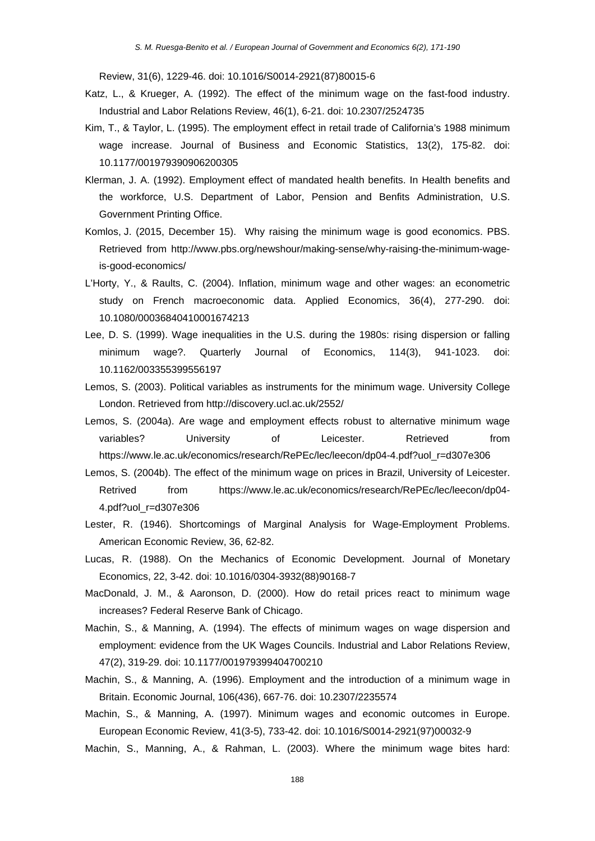Review, 31(6), 1229-46. doi: 10.1016/S0014-2921(87)80015-6

- Katz, L., & Krueger, A. (1992). The effect of the minimum wage on the fast-food industry. Industrial and Labor Relations Review, 46(1), 6-21. doi: 10.2307/2524735
- Kim, T., & Taylor, L. (1995). The employment effect in retail trade of California's 1988 minimum wage increase. Journal of Business and Economic Statistics, 13(2), 175-82. doi: 10.1177/001979390906200305
- Klerman, J. A. (1992). Employment effect of mandated health benefits. In Health benefits and the workforce, U.S. Department of Labor, Pension and Benfits Administration, U.S. Government Printing Office.
- Komlos, J. (2015, December 15). Why raising the minimum wage is good economics. PBS. Retrieved from http://www.pbs.org/newshour/making-sense/why-raising-the-minimum-wageis-good-economics/
- L'Horty, Y., & Raults, C. (2004). Inflation, minimum wage and other wages: an econometric study on French macroeconomic data. Applied Economics, 36(4), 277-290. doi: 10.1080/00036840410001674213
- Lee, D. S. (1999). Wage inequalities in the U.S. during the 1980s: rising dispersion or falling minimum wage?. Quarterly Journal of Economics, 114(3), 941-1023. doi: 10.1162/003355399556197
- Lemos, S. (2003). Political variables as instruments for the minimum wage. University College London. Retrieved from http://discovery.ucl.ac.uk/2552/
- Lemos, S. (2004a). Are wage and employment effects robust to alternative minimum wage variables? University of Leicester. Retrieved from https://www.le.ac.uk/economics/research/RePEc/lec/leecon/dp04-4.pdf?uol\_r=d307e306
- Lemos, S. (2004b). The effect of the minimum wage on prices in Brazil, University of Leicester. Retrived from https://www.le.ac.uk/economics/research/RePEc/lec/leecon/dp04-4.pdf?uol\_r=d307e306
- Lester, R. (1946). Shortcomings of Marginal Analysis for Wage-Employment Problems. American Economic Review, 36, 62-82.
- Lucas, R. (1988). On the Mechanics of Economic Development. Journal of Monetary Economics, 22, 3-42. doi: 10.1016/0304-3932(88)90168-7
- MacDonald, J. M., & Aaronson, D. (2000). How do retail prices react to minimum wage increases? Federal Reserve Bank of Chicago.
- Machin, S., & Manning, A. (1994). The effects of minimum wages on wage dispersion and employment: evidence from the UK Wages Councils. Industrial and Labor Relations Review, 47(2), 319-29. doi: 10.1177/001979399404700210
- Machin, S., & Manning, A. (1996). Employment and the introduction of a minimum wage in Britain. Economic Journal, 106(436), 667-76. doi: 10.2307/2235574
- Machin, S., & Manning, A. (1997). Minimum wages and economic outcomes in Europe. European Economic Review, 41(3-5), 733-42. doi: 10.1016/S0014-2921(97)00032-9
- Machin, S., Manning, A., & Rahman, L. (2003). Where the minimum wage bites hard: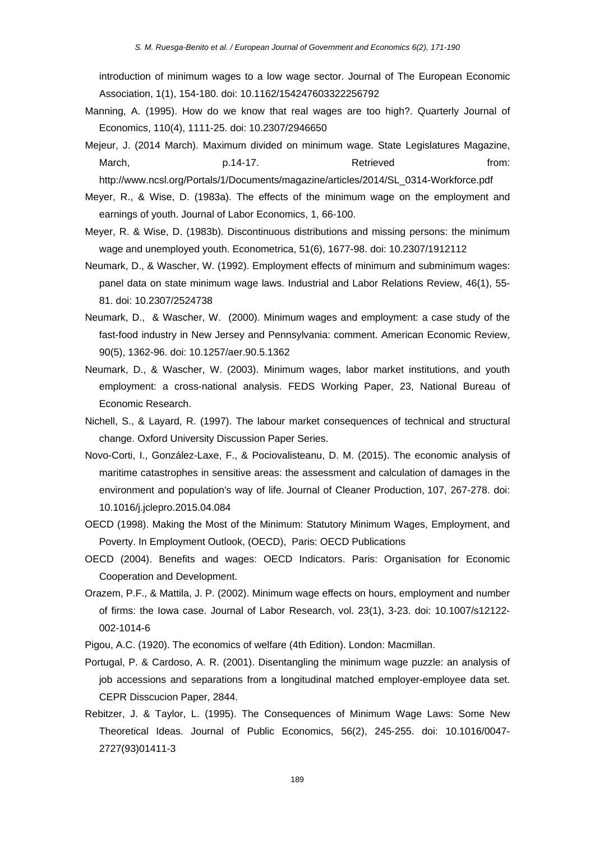introduction of minimum wages to a low wage sector. Journal of The European Economic Association, 1(1), 154-180. doi: 10.1162/154247603322256792

- Manning, A. (1995). How do we know that real wages are too high?. Quarterly Journal of Economics, 110(4), 1111-25. doi: 10.2307/2946650
- Mejeur, J. (2014 March). Maximum divided on minimum wage. State Legislatures Magazine, March, p.14-17. Retrieved from: http://www.ncsl.org/Portals/1/Documents/magazine/articles/2014/SL\_0314-Workforce.pdf
- Meyer, R., & Wise, D. (1983a). The effects of the minimum wage on the employment and earnings of youth. Journal of Labor Economics, 1, 66-100.
- Meyer, R. & Wise, D. (1983b). Discontinuous distributions and missing persons: the minimum wage and unemployed youth. Econometrica, 51(6), 1677-98. doi: 10.2307/1912112
- Neumark, D., & Wascher, W. (1992). Employment effects of minimum and subminimum wages: panel data on state minimum wage laws. Industrial and Labor Relations Review, 46(1), 55- 81. doi: 10.2307/2524738
- Neumark, D., & Wascher, W. (2000). Minimum wages and employment: a case study of the fast-food industry in New Jersey and Pennsylvania: comment. American Economic Review, 90(5), 1362-96. doi: 10.1257/aer.90.5.1362
- Neumark, D., & Wascher, W. (2003). Minimum wages, labor market institutions, and youth employment: a cross-national analysis. FEDS Working Paper, 23, National Bureau of Economic Research.
- Nichell, S., & Layard, R. (1997). The labour market consequences of technical and structural change. Oxford University Discussion Paper Series.
- Novo-Corti, I., González-Laxe, F., & Pociovalisteanu, D. M. (2015). The economic analysis of maritime catastrophes in sensitive areas: the assessment and calculation of damages in the environment and population's way of life. Journal of Cleaner Production, 107, 267-278. doi: 10.1016/j.jclepro.2015.04.084
- OECD (1998). Making the Most of the Minimum: Statutory Minimum Wages, Employment, and Poverty. In Employment Outlook, (OECD), Paris: OECD Publications
- OECD (2004). Benefits and wages: OECD Indicators. Paris: Organisation for Economic Cooperation and Development.
- Orazem, P.F., & Mattila, J. P. (2002). Minimum wage effects on hours, employment and number of firms: the Iowa case. Journal of Labor Research, vol. 23(1), 3-23. doi: 10.1007/s12122- 002-1014-6
- Pigou, A.C. (1920). The economics of welfare (4th Edition). London: Macmillan.
- Portugal, P. & Cardoso, A. R. (2001). Disentangling the minimum wage puzzle: an analysis of job accessions and separations from a longitudinal matched employer-employee data set. CEPR Disscucion Paper, 2844.
- Rebitzer, J. & Taylor, L. (1995). The Consequences of Minimum Wage Laws: Some New Theoretical Ideas. Journal of Public Economics, 56(2), 245-255. doi: 10.1016/0047- 2727(93)01411-3